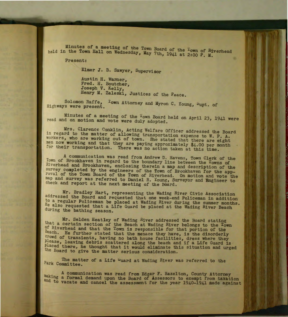Minutes of a meeting of the Town Board of the <sup>T</sup>own of Riverhead held in the Town Hall on Wednesday, May 7th, 1941 at 2:00 P. M.

Present:

Elmer J. B. Sawyer, Supervisor

Austin H. Warner, Fred. H. Boutcher, Joseph V. Kelly, Henry M. Zaleski, Justices of the Peace.

Solomon Raffe, <sup>T</sup>own Attorney and Myron C. Young, <sup>S</sup>upt. of Highways were present.

Minutes of a meeting of the <sup>T</sup>own Board held on April 23, 1941 were read and on motion and vote were duly adopted.

Mrs. Clarence Conklin, Acting Welfare Officer addressed the Board in regard to the matter of allowing transportation expense to W. P. A. workers, who are working out of town. She stated that there are eight men now working and that they are paying approximately \$4.00 per month for their transportation. There was no action taken at this time.

A communication was read from Andrew D. Havens, Town Clerk of the Town of Brookhaven in regard to the boundary line between the Towns of Riverhead and Brookhaven, enclosing therein a map and description of the survey completed by the engineers of the Town of Brookhaven for the approval of the Town Board of the Town of Riverhead. On motion and vote the check and report at the next meeting of the Board. map and survey was referred to Daniel R. Young, Surveyor and Engineer to

Mr. Bradley Hart, representing the Wading River Civic Association addressed the Board and requested that one week-end Policeman in addition to a regular Policeman be placed at Wading River during the summer months. He also requested that a Life Guard be placed at the Wading River Beach during the bathing season.

Mr. Selden Heatley of Wading River addressed the Board stating that a certain section of the Beach at Wading River belongs to the Town of River belongs to the Town of Riverhead and that the Town is responsible for that portion of the Beach. He further stated that the menace they have, is the disorderly crowd of transients, having no bath house facilities, dress where they please, leaving debris scattered along the beach and if a Life Guard is Placed there, he thought that it would eliminate this situation and urged the Board to give the matter serious consideration.

The matter of a Life <sup>u</sup>uard at Wading River was referred to the Park Committee.

A communication was read from Edgar F. Hazelton, County Attorney making a formal demand upon the Board of Assessors to exempt from taxation and to vacate and cancel the assessment for the year 1940-1941 made against